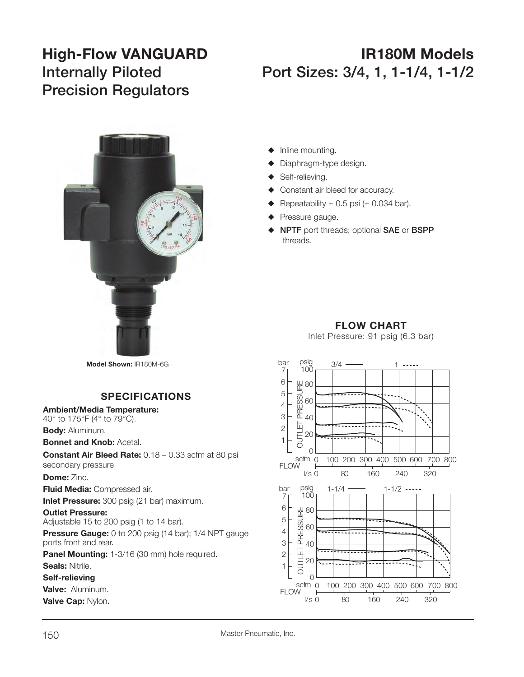# **Precision Regulators**

## **High-Flow VANGUARD IR180M Models Internally Piloted Port Sizes: 3/4, 1, 1-1/4, 1-1/2**



- $\blacklozenge$  Inline mounting.
- Diaphragm-type design.
- $\blacklozenge$  Self-relieving.
- Constant air bleed for accuracy.
- Repeatability  $\pm$  0.5 psi ( $\pm$  0.034 bar).
- Pressure gauge.
- S **NPTF** port threads; optional **SAE** or **BSPP**  threads.

### **FLOW CHART**

Inlet Pressure: 91 psig (6.3 bar)



**Model Shown:** IR180M-6G

#### **SPECIFICATIONS**

**Ambient/Media Temperature:**

40° to 175°F (4° to 79°C). **Body:** Aluminum.

**Bonnet and Knob:** Acetal.

**Constant Air Bleed Rate:** 0.18 – 0.33 scfm at 80 psi secondary pressure

**Dome:** Zinc.

**Fluid Media:** Compressed air.

**Inlet Pressure:** 300 psig (21 bar) maximum.

**Outlet Pressure:** Adjustable 15 to 200 psig (1 to 14 bar).

**Pressure Gauge:** 0 to 200 psig (14 bar); 1/4 NPT gauge ports front and rear.

**Panel Mounting:** 1-3/16 (30 mm) hole required.

**Seals:** Nitrile.

**Self-relieving** 

**Valve:** Aluminum.

**Valve Cap:** Nylon.